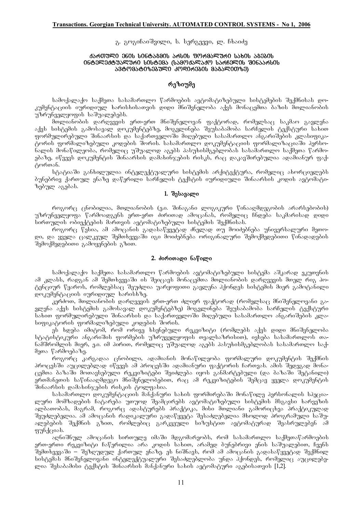#### გ. გოგიჩაიშვილი, ს. სერგეევი, ლ. ჩხაიძე

#### 4১რ0)ᲣᲚᲘ ᲔᲜᲘᲡ ᲡᲘᲜᲢᲐᲒᲛᲘᲡ **ᲐᲠᲡᲘᲡ ᲤᲝᲠᲛᲐᲚ**ᲣᲠᲘ ᲡᲐᲮᲘᲡ ᲐᲒᲔᲑᲘᲡ **inteleqtualuri sistema (samoqalaqo sarCelis Sinaarsis**  ᲐᲒ**ᲢᲝᲛᲐᲢᲘᲖᲔᲑᲣᲚᲘ`**ᲙᲝᲓᲘᲠᲔᲑᲘᲡ ᲛᲐᲒᲐᲚᲘᲗᲖᲔ)

## რეზიუმე

სამოქალაქო საქმეთა სასამართლო წარმოების ავტომატიზებული სისტემების შექმნისას დოკუმენტაციის იურიდიულ ხარისხისათვის დიდი მნიშვნელობა აქვს მონაცემთა ბაზის შთლიანობის უზრუნველყოფის საშუალებებს.

მთლიანობის დარღვევის ერთ-ერთ მნიშვნელოვან ფაქტორად, რომელსაც საკმაო გავლენა აქვს სისტემის გამოსავალ დოკუმენტებზე, მოგვლინება შეუსაბამობა სარჩელის ტექსტური სახით .<br>ფორმულირებული შინაარსის და საქართველოში მიღებული სასამართლო ანგარიშების კლასიფიკატორის ფორმალიზებული კოდების შორის. სასამართლო დოკუმენტაციის ფორმალიზაციაში პერსონალის მონაწილეობა, რომელიც უშუალოდ აგებს პასუხისმგებლობას სასაშართლო საქმეთა წარმოებაზე, იწვევს დოკუმენტის შინაარსის დამახინჯების რისკს, რაც დაკავშირებულია ადამიანურ ფაქტორთან.

სტატიაში განხილულია ინტელექტუალური სისტემის არქიტექტურა, რომელიც ახორციელებს ბუნებრივ ქართულ ენაზე დაწერილი სარჩელის ტექსტის იურიდიული შინაარსის კოდის ავტომატიზებულ აგებას.

### 1. **d**absasgo

როგორც ცნობილია, მთლიანობის (ე.ი. შინაგანი ლოგიკური წინააღმდეგობის არარსებობის) უზრუნველყოფა წარმოადგენს ერთ-ერთ ძირითად ამოცანას, რომელიც ჩნდება საკმარისად დიდი სირთულის ობიექტების მართვის ავტომატიზებული სისტემის შექმნისას.

როგორც წესია, ამ ამოცანის გადასაწყვეტად ძნელად თუ მოიძებნება უნივერსალური მეთოდი, და ყველა ცალკეულ შემთხვევაში იგი მოიძებნება ორიგინალური შემოქმედებითი წინადადების შემოქმედებითი გამოყენების გზით.

#### 2. **ძირითადი** ნაწილი

სამოქალაქო საქმეთა სასამართლო წარმოების ავტომატიზებული სისტემა აშკარად ეკუთვნის ამ კლასს, რადგან ამ შემთხვევაში ის შეიცავს მონაცემთა მთლიანობის დარღვევის მთელ რიგ პოტენციურ წყაროს, რომლებსაც შეუძლია უარყოფითი გავლენა ჰქონდეს სისტემის მიერ გამოტანილი pozadabascool ogonome bootbbba.

კერძოთ, მთლიანობის დარღვევის ერთ-ერთ ძლიერ ფაქტორად (რომელსაც მნიშვნელოვანი გავლენა აქვს სისტემის გამოსავალ დოკუმენტებზე) მოგვლინება შეუსაბამობა სარჩელის ტექსტური .<br>სახით ფორმულირებული შინაარსის და საქართველოში მიღებული სასამართლო ანგარიშების კლა- $\frac{1}{2}$ სიფიკატორის ფორმალიზებული კოდების შორის.

ეს ხდება იმიტომ, რომ ორივე ხსენებული რეკვიზიტი (რომლებს აქვს დიდი მნიშვნელობა სტატისტიკური ანგარიშის ფორმების უზრუველყოფის თვალსაზრისით), ივსება სასამართლოს თანამშრომლის მიერ, ე.ი. იმ პირით, რომელიც უშუალოდ აგებს პასუხისმგებლობას სასამართლო საქმეთა წარმოებაზე.

.<br>როგორც კარგადაა ცნობილი, ადამიანის მონაწილეობა ფორმალური დოკუმენტის შექმნის პროცესში აუცილებლად იწვევს ამ პროცესში ადამიანური ფაქტორის ჩართვას. ამის შედეგად მონაცემთა ბაზაში მოთავსებული რეკვიზიტები შეიძლება იყოს განმარტებული (და ბაზაში შეტანილი) ერთმანეთის საწინააღმდეგო მნიშვნელობებით, რაც ამ რეკვიზიტების შემცავ ყველა დოკუმენტის .<br>შინაარსის დამახინჯების რისკის ტოლფასია.

სასამართლო დოკუმენტაციის მანქანური სახის ფორმირებაში მონაწილე პერსონალის სპეციალური მომზადების ჩატარება უთუოდ შეაშცირებს ავტომატიზებული სისტემის მსგავსი ხარვეზის ალბათობას, მაგრამ, როგორც ადასტურებს პრაქტიკა, მისი მთლიანი გამორიცხვა პრაქტიკულად შეუძლებელია. ამ ამოცანის რადიკალური გადაწყვეტა შესაძლებელია მხოლოდ პროგრამული საშუალებების შექმნის გზით, რომლებიც გარკვეული სიზუსტით ავტომატურად შეასრულებენ ამ g<sub>7</sub>16<sub>d</sub>cost.

,<br>აღნიშნულ ამოცანის სირთულე იმაში მდგომარეობს, რომ სასამართლო საქმეთაწარმოების ერთ-ერთი რეკვიზიტი ჩაწერილია არა კოდის სახით, არამედ ბუნებრივი ენის საშუალებით, ჩვენს .<br>შემთხვევაში – შეზდუდულ ქართულ ენაზე. ეს ნიშნავს, რომ ამ ამოცანის გადასაწყვეტად შექმნილ სისტემას მნიშვნელოვანი ინტელექტუალური შესაძლებლობა უნდა ჰქონდეს, რომელიც აუცილებეlia Sesabamisi terstis Sinaarsis Sinaarsis manqanuri saxis manqanari isteris manqanari teqstis manqanari [1,2].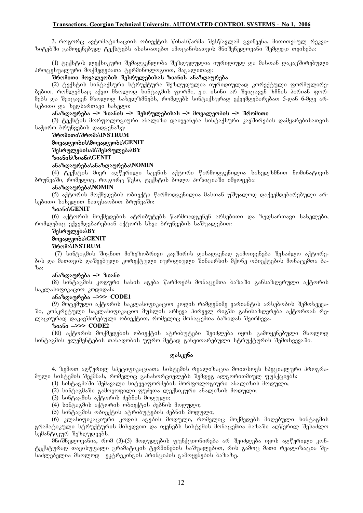### **Transactions. Georgian Technical University. AUTOMATED CONTROL SYSTEMS - No 1, 2006**

3. როგორც ავტომატიზაციის ობიექტის წინასწარმა შესწავლამ გვიჩვენა, მითითებულ რეკვიზიტებში გამოყენებულ ტექსტებს ახასიათებთ ამოცანისათვის მნიშვნელოვანი შემდეგი თვისება:

(1) ტექსტის ლექსიკური შემადგენლობა შეზღუდულია იურიდიულ და მასთან დაკავშირებული პროცესუალური მოქმედებათა ტერმინოლოგიით, მაგალითად:

## .<br>შრომითი მოვალეობის შესრულებისას ზიანის ანაზღაურება

(2) ტექსტის სინტაქსური სტრუქტურა შეზღუდულია იურიდიულად კორექტული ფორმულირეbgboo, რომლებსაც აქვთ მხოლოდ სინტაგმის ფორმა, ე.ი. ისინი არ შეიცავენ ზმნის პირიან ფორ-.<br>მებს და შეიცავენ მხოლოდ სახელზმნებს, რომლებს სინტაქსურად ექვემდებარებათ 5-დან 6-მდე არbadooo go bagbooosao bobago:

### ანაზღაურება –> ზიანის –> შესრულებისას –> მოვალეობის –> შრომითი

(3) ტექსტის მორფოლოგიური ანალიზი დაიყვანება სინტაქსური კავშირების დამყარებისათვის bs ame deringto being being being

## **SromiTi\Sroma\INSTRUM movaleobis\movaleoba\GENIT Sesrulebisas\Sesruleba\BY zianis\ziani\GENIT**

## **anazRaureba\anazRaureba\NOMIN**

(4) ტექსტის მიერ აღწერილი სცენის აქტორი წარმოდგენილია სახელზმნით ნომინატივის ბრუნვაში, რომელიც, როგორც წესი, ტექსტის ბოლო პოზიციაში იმყოფება:

## **anazRaureba\NOMIN**

(5) აქტორის მოქმედების ობიექტი წარმოდგენილია მასთან უშუალოდ დაქვემდებარებული არ $b$ ებითი სახელით ნათესაობით ბრუნვაში:

### **ziani\GENIT**

(6) აქტორის მოქმედების ატრიბუტებს წარმოადგენენ არსებითი და ზედსართავი სახელები,  $\epsilon$  moderators adapted barebian and the barebian and  $\epsilon$  is dependent.

## **Sesruleba\BY movaleoba\GENIT**

### **Sroma\INSTRUM**

(7) სინტაგმის შიგნით მიზეზობრივი კავშირის დასადგენად გამოიყენება შესაძლო აქტორების და მათთვის დაშვებული კორექტული იურიდიული შინაარსის მქონე ობიექტების მონაცემთა ბა $a_{\rm ob}$ :

### ანაზღაურება —> ზიანი

(8) სინტაგშის კოდური სახის აგება წარმოებს მონაცემთა ბაზაში განსაზღვრული აქტორის საკლასიფიკაციო კოდიდან:

### **anazRaureba \_>>> CODE1**

(9) მოცემული აქტორის საკლასიფიკაციო კოდის რამდენიმე ვარიანტის არსებობის შემთხვევაში, კონკრეტული საკლასიფიკაციო მუხლის არჩევა პირველ რიგში განისაზღვრება აქტორთან რელაციურად დაკავშირებული ობიექტით, რომელიც მონაცემთა ბაზიდან შეირჩევა.

## **ziani \_>>> CODE2**

(10) აქტორის მოქმედების ობიექტის ატრიბუტები შეიძლება იყოს გამოყენებული მხოლოდ სინტაგმის ელემენტების თანადობის უფრო მეტად განვითარებული სტრუქტურის შემთხვევაში.

### **g**sb<sub>d</sub>g6s

4. ზემოთ აღწერილ სპეციფიკაციათა სისტემის რეალიზაცია მოითხოვს სპეციალური პროგრამული სისტემის შექმნას, რომელიც განახორციელებს შემდეგ ალგორითმიულ ფუნქციებს:

- (1) სინტაგმაში შემავალი სიტყვაფორმების მორფოლოგიური ანალიზის მოდული;
- $(2)$  სინტაგმაში გამოყოფილი ფუძეთა ლექსიკური ანალიზის მოდული;
- $(3)$   $\frac{1}{6}$   $\frac{1}{3}$   $\frac{1}{6}$   $\frac{1}{3}$   $\frac{1}{6}$   $\frac{1}{6}$   $\frac{1}{6}$   $\frac{1}{6}$   $\frac{1}{6}$   $\frac{1}{6}$   $\frac{1}{6}$   $\frac{1}{6}$   $\frac{1}{6}$   $\frac{1}{6}$   $\frac{1}{6}$   $\frac{1}{6}$   $\frac{1}{6}$   $\frac{1}{6}$   $\frac{1}{6}$   $\frac{1}{6}$   $\frac{1}{6}$   $\frac{1$
- $(4)$   $\frac{1}{6}$   $\frac{1}{6}$   $\frac{1}{6}$   $\frac{1}{6}$   $\frac{1}{6}$   $\frac{1}{6}$   $\frac{1}{6}$   $\frac{1}{6}$   $\frac{1}{6}$   $\frac{1}{6}$   $\frac{1}{6}$   $\frac{1}{6}$   $\frac{1}{6}$   $\frac{1}{6}$   $\frac{1}{6}$   $\frac{1}{6}$   $\frac{1}{6}$   $\frac{1}{6}$   $\frac{1}{6}$   $\frac{1}{6}$   $\frac{1}{6}$   $\frac{1$
- (5) სინტაგმის ობიექტის ატრიბუტების ძებნის მოდული;

(6) კლასიფიკაციური კოდის აგების მოდული, რომელიც მოქმედებს მიღებული სინტაგმის გრამატიკული სტრუქტურის მიხედვით და იყენებს სისტემის მონაცემთა ბაზაში აღწერილ შესაძლო სემანტიკურ შეზღუდვებს.

მნიშნელოვანია, რომ (3)-(5) მოდულების ფუნქციონირება არ შეიძლება იყოს აღწერილი კონტექსტურად თავისუფალი გრამატიკის ტერმინების საშუალებით, რის გამოც მათი რეალიზაცია შესაძლებელია მხოლოდ \_ ეკტრეკინგის პრინციპის გამოყენების ბაზაზე.